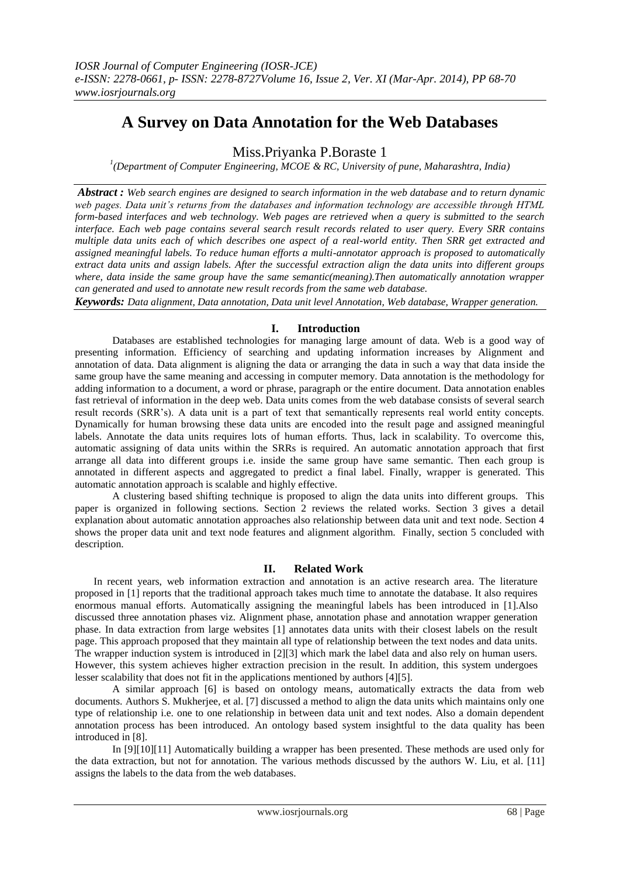# **A Survey on Data Annotation for the Web Databases**

Miss.Priyanka P.Boraste 1

*1 (Department of Computer Engineering, MCOE & RC, University of pune, Maharashtra, India)*

*Abstract : Web search engines are designed to search information in the web database and to return dynamic web pages. Data unit's returns from the databases and information technology are accessible through HTML form-based interfaces and web technology. Web pages are retrieved when a query is submitted to the search interface. Each web page contains several search result records related to user query. Every SRR contains multiple data units each of which describes one aspect of a real-world entity. Then SRR get extracted and assigned meaningful labels. To reduce human efforts a multi-annotator approach is proposed to automatically extract data units and assign labels. After the successful extraction align the data units into different groups where, data inside the same group have the same semantic(meaning).Then automatically annotation wrapper can generated and used to annotate new result records from the same web database.* 

*Keywords: Data alignment, Data annotation, Data unit level Annotation, Web database, Wrapper generation.*

# **I. Introduction**

 Databases are established technologies for managing large amount of data. Web is a good way of presenting information. Efficiency of searching and updating information increases by Alignment and annotation of data. Data alignment is aligning the data or arranging the data in such a way that data inside the same group have the same meaning and accessing in computer memory. Data annotation is the methodology for adding information to a document, a word or phrase, paragraph or the entire document. Data annotation enables fast retrieval of information in the deep web. Data units comes from the web database consists of several search result records (SRR's). A data unit is a part of text that semantically represents real world entity concepts. Dynamically for human browsing these data units are encoded into the result page and assigned meaningful labels. Annotate the data units requires lots of human efforts. Thus, lack in scalability. To overcome this, automatic assigning of data units within the SRRs is required. An automatic annotation approach that first arrange all data into different groups i.e. inside the same group have same semantic. Then each group is annotated in different aspects and aggregated to predict a final label. Finally, wrapper is generated. This automatic annotation approach is scalable and highly effective.

A clustering based shifting technique is proposed to align the data units into different groups. This paper is organized in following sections. Section 2 reviews the related works. Section 3 gives a detail explanation about automatic annotation approaches also relationship between data unit and text node. Section 4 shows the proper data unit and text node features and alignment algorithm. Finally, section 5 concluded with description.

# **II. Related Work**

In recent years, web information extraction and annotation is an active research area. The literature proposed in [1] reports that the traditional approach takes much time to annotate the database. It also requires enormous manual efforts. Automatically assigning the meaningful labels has been introduced in [1].Also discussed three annotation phases viz. Alignment phase, annotation phase and annotation wrapper generation phase. In data extraction from large websites [1] annotates data units with their closest labels on the result page. This approach proposed that they maintain all type of relationship between the text nodes and data units. The wrapper induction system is introduced in [2][3] which mark the label data and also rely on human users. However, this system achieves higher extraction precision in the result. In addition, this system undergoes lesser scalability that does not fit in the applications mentioned by authors [4][5].

A similar approach [6] is based on ontology means, automatically extracts the data from web documents. Authors S. Mukherjee, et al. [7] discussed a method to align the data units which maintains only one type of relationship i.e. one to one relationship in between data unit and text nodes. Also a domain dependent annotation process has been introduced. An ontology based system insightful to the data quality has been introduced in [8].

In [9][10][11] Automatically building a wrapper has been presented. These methods are used only for the data extraction, but not for annotation. The various methods discussed by the authors W. Liu, et al. [11] assigns the labels to the data from the web databases.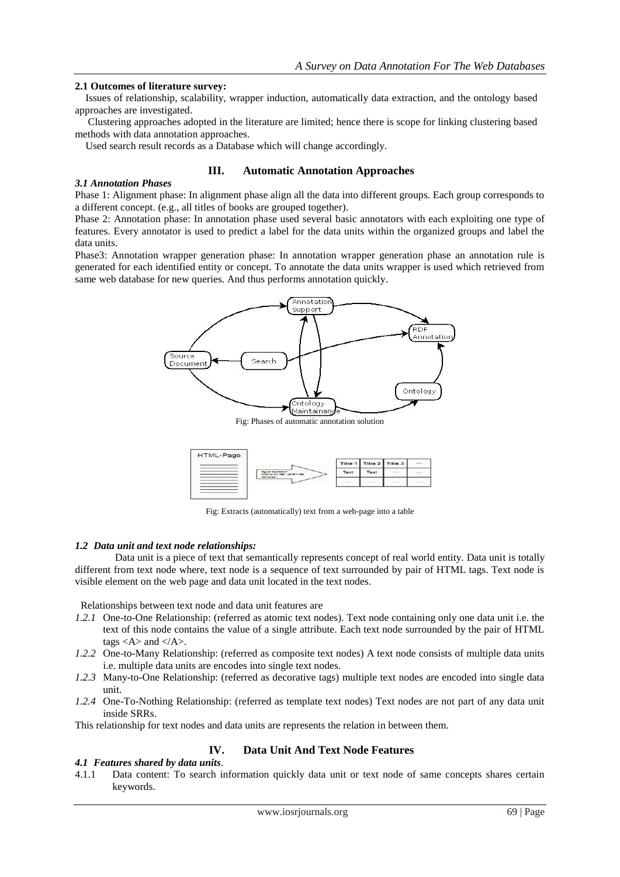### **2.1 Outcomes of literature survey:**

Issues of relationship, scalability, wrapper induction, automatically data extraction, and the ontology based approaches are investigated.

Clustering approaches adopted in the literature are limited; hence there is scope for linking clustering based methods with data annotation approaches.

Used search result records as a Database which will change accordingly.

### **III. Automatic Annotation Approaches**

### *3.1 Annotation Phases*

Phase 1: Alignment phase: In alignment phase align all the data into different groups. Each group corresponds to a different concept. (e.g., all titles of books are grouped together).

Phase 2: Annotation phase: In annotation phase used several basic annotators with each exploiting one type of features. Every annotator is used to predict a label for the data units within the organized groups and label the data units.

Phase3: Annotation wrapper generation phase: In annotation wrapper generation phase an annotation rule is generated for each identified entity or concept. To annotate the data units wrapper is used which retrieved from same web database for new queries. And thus performs annotation quickly.



Fig: Phases of automatic annotation solution



Fig: Extracts (automatically) text from a web-page into a table

### *1.2 Data unit and text node relationships:*

Data unit is a piece of text that semantically represents concept of real world entity. Data unit is totally different from text node where, text node is a sequence of text surrounded by pair of HTML tags. Text node is visible element on the web page and data unit located in the text nodes.

Relationships between text node and data unit features are

- *1.2.1* One-to-One Relationship: (referred as atomic text nodes). Text node containing only one data unit i.e. the text of this node contains the value of a single attribute. Each text node surrounded by the pair of HTML tags  $<$  A $>$  and  $<$  /A $>$ .
- *1.2.2* One-to-Many Relationship: (referred as composite text nodes) A text node consists of multiple data units i.e. multiple data units are encodes into single text nodes.
- *1.2.3* Many-to-One Relationship: (referred as decorative tags) multiple text nodes are encoded into single data unit.
- *1.2.4* One-To-Nothing Relationship: (referred as template text nodes) Text nodes are not part of any data unit inside SRRs.

This relationship for text nodes and data units are represents the relation in between them.

# **IV. Data Unit And Text Node Features**

### *4.1 Features shared by data units*.

4.1.1 Data content: To search information quickly data unit or text node of same concepts shares certain keywords.